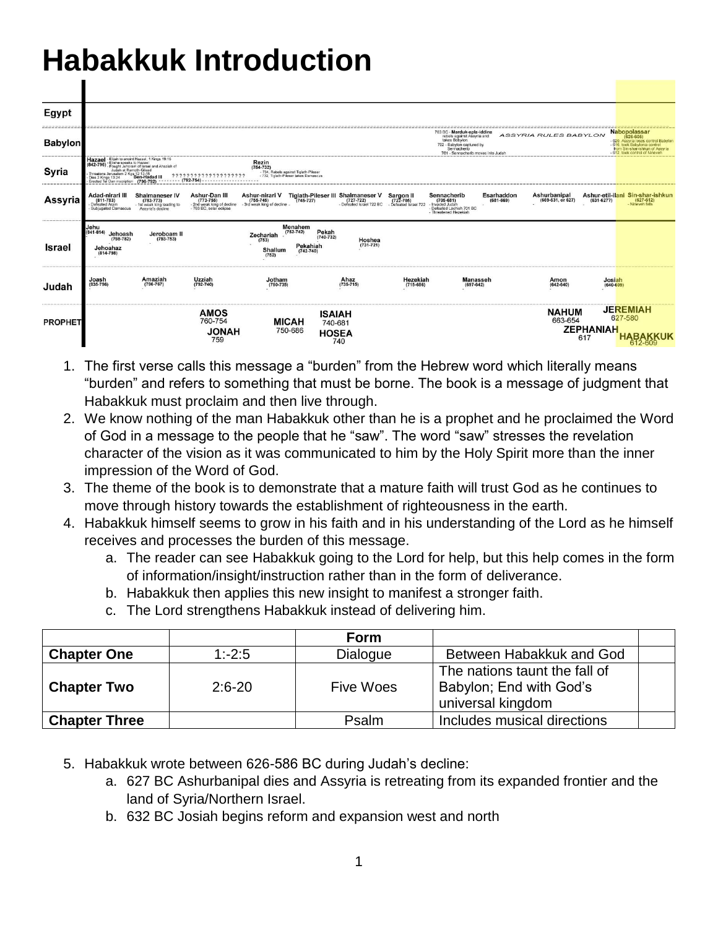## **Habakkuk Introduction**

| Egypt          |                                                                                                                                                                           |                                                                                                                          |                                                                                     |                                                                                                          |                                                                |                                                                          |                                                 |                                                                                                                                                            |                             |                                   |                         |                                                                                                                                                                     |
|----------------|---------------------------------------------------------------------------------------------------------------------------------------------------------------------------|--------------------------------------------------------------------------------------------------------------------------|-------------------------------------------------------------------------------------|----------------------------------------------------------------------------------------------------------|----------------------------------------------------------------|--------------------------------------------------------------------------|-------------------------------------------------|------------------------------------------------------------------------------------------------------------------------------------------------------------|-----------------------------|-----------------------------------|-------------------------|---------------------------------------------------------------------------------------------------------------------------------------------------------------------|
| <b>Babylon</b> |                                                                                                                                                                           |                                                                                                                          |                                                                                     |                                                                                                          |                                                                |                                                                          |                                                 | 703 BC - Marduk-apla-iddina<br>rebels against Assyria and<br>takes Babylon.<br>702 - Babylon captured by<br>Sennacherib<br>701 - Sennacherib moyes into Ju |                             | <b>ASSYRIA RULES BABYLON</b>      |                         | Nabopolassar<br>(626-605)<br>620, Assyria loses control Babylon<br>- 616, took Babylonia control<br>from Sin-shar-ishkun of Assyria<br>612, took control of Ninevel |
| Syria          | Hazael<br>(842-796)<br>Fought Jehoram of Israel<br>Judah at Ramoth-Gilead<br>Threatens Jerusalem 2 Kgs 12:17-18<br>Dies 2 Kings 13:24 Ben-Hadad III<br>Dies 2 Kings 13:24 | - Elijah to anoint Hazael, 1 Kings 19:<br>Erected Tel Dan inscription (796-792) -------- (792-754) --------------------- | ???????????????????                                                                 | Rezin<br>$(754 - 732)$<br>- 734. Rebels against Tiglath-Pileser<br>- 732. Tiglath-Pileser takes Damascus |                                                                |                                                                          |                                                 |                                                                                                                                                            |                             |                                   |                         |                                                                                                                                                                     |
| Assyria        | Adad-nirari III<br>$(811 - 783)$<br>Defeated Aram<br>Subiugated Damascus                                                                                                  | Shalmaneser IV<br>(783-773)<br>- 1st weak king leading to<br>Assyria's decline                                           | Ashur-Dan III<br>(773-755)<br>- 2nd weak king of decline<br>- 763 BC, solar eclipse | <b>Ashur-nirari V</b><br>(755-745)<br>- 3rd weak king of decline                                         |                                                                | Tiglath-Pileser III Shalmaneser V<br>(745-727)<br>Defeated Israel 722 BC | Sargon II<br>(722-705)<br>- Defeated Israel 722 | Sennacherib<br>(705-681)<br>- Invaded Judah<br>- Defeated Lachish 701 BC<br>- Threatened Hezekiah                                                          | Esarhaddon<br>$(681 - 669)$ | Ashurbanipal<br>(669-631, or 627) |                         | Ashur-etil-ilani Sin-shar-ishkun<br>(631-627?) (627-612)<br>Nineveh falls                                                                                           |
| Israel         | Jehu<br>$(841-814)$ Jehoash<br>$(798 - 782)$<br>Jehoahaz<br>$(814 - 798)$                                                                                                 | Jeroboam II<br>$(793 - 753)$                                                                                             |                                                                                     | $(752 - 742)$<br>Zechariah<br>(753)<br>Shallum<br>(752)                                                  | Menahem<br>Pekah<br>$(740 - 732)$<br>Pekahiah<br>$(742 - 740)$ | Hoshea<br>$(731 - 721)$                                                  |                                                 |                                                                                                                                                            |                             |                                   |                         |                                                                                                                                                                     |
| Judah          | Joash<br>$(835 - 796)$                                                                                                                                                    | Amaziah<br>$(796 - 767)$                                                                                                 | Uzziah<br>$(792 - 740)$                                                             | Jotham<br>$(750 - 735)$                                                                                  |                                                                | Ahaz<br>$(735 - 715)$                                                    | Hezekiah<br>$(715 - 686)$                       | <b>Manasseh</b><br>$(697-642)$                                                                                                                             |                             | Amon<br>$(642 - 640)$             | Josiah<br>$(640 - 609)$ |                                                                                                                                                                     |
| <b>PROPHET</b> |                                                                                                                                                                           |                                                                                                                          | <b>AMOS</b><br>760-754<br><b>HANOL</b><br>759                                       | <b>MICAH</b><br>750-686                                                                                  | <b>ISAIAH</b><br>740-681                                       | <b>HOSEA</b><br>740                                                      |                                                 |                                                                                                                                                            |                             | <b>NAHUM</b><br>663-654           | <b>ZEPHANIAH</b><br>617 | <b>JEREMIAH</b><br>627-580                                                                                                                                          |

- 1. The first verse calls this message a "burden" from the Hebrew word which literally means "burden" and refers to something that must be borne. The book is a message of judgment that Habakkuk must proclaim and then live through.
- 2. We know nothing of the man Habakkuk other than he is a prophet and he proclaimed the Word of God in a message to the people that he "saw". The word "saw" stresses the revelation character of the vision as it was communicated to him by the Holy Spirit more than the inner impression of the Word of God.
- 3. The theme of the book is to demonstrate that a mature faith will trust God as he continues to move through history towards the establishment of righteousness in the earth.
- 4. Habakkuk himself seems to grow in his faith and in his understanding of the Lord as he himself receives and processes the burden of this message.
	- a. The reader can see Habakkuk going to the Lord for help, but this help comes in the form of information/insight/instruction rather than in the form of deliverance.
	- b. Habakkuk then applies this new insight to manifest a stronger faith.
	- c. The Lord strengthens Habakkuk instead of delivering him.

|                      |            | Form             |                                                                               |  |
|----------------------|------------|------------------|-------------------------------------------------------------------------------|--|
| <b>Chapter One</b>   | $1: -2:5$  | Dialogue         | Between Habakkuk and God                                                      |  |
| <b>Chapter Two</b>   | $2:6 - 20$ | <b>Five Woes</b> | The nations taunt the fall of<br>Babylon; End with God's<br>universal kingdom |  |
| <b>Chapter Three</b> |            | Psalm            | Includes musical directions                                                   |  |

- 5. Habakkuk wrote between 626-586 BC during Judah's decline:
	- a. 627 BC Ashurbanipal dies and Assyria is retreating from its expanded frontier and the land of Syria/Northern Israel.
	- b. 632 BC Josiah begins reform and expansion west and north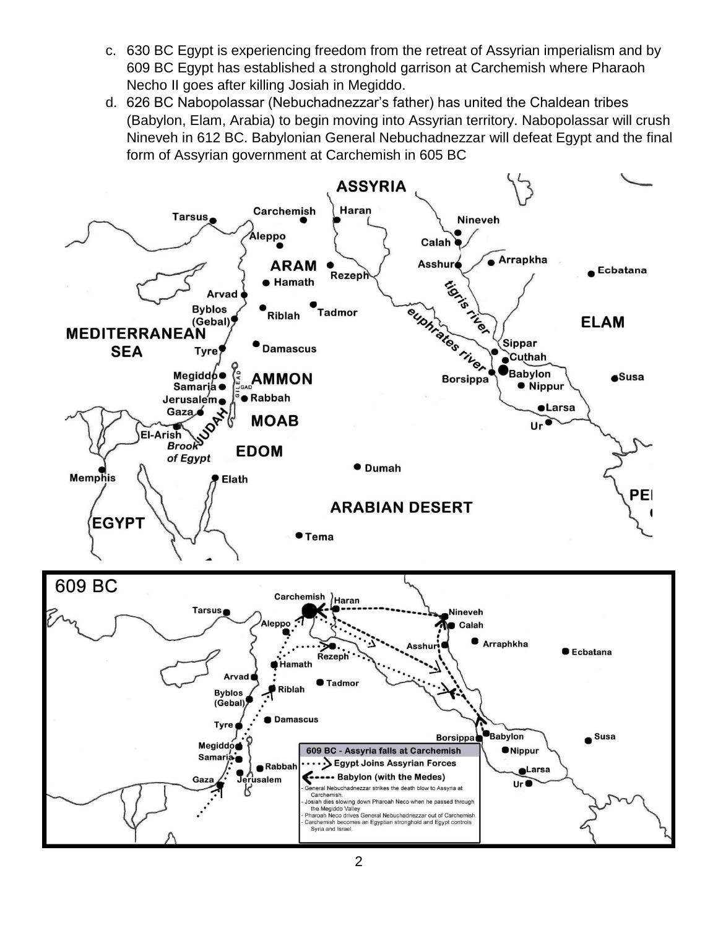- c. 630 BC Egypt is experiencing freedom from the retreat of Assyrian imperialism and by 609 BC Egypt has established a stronghold garrison at Carchemish where Pharaoh Necho II goes after killing Josiah in Megiddo.
- d. 626 BC Nabopolassar (Nebuchadnezzar's father) has united the Chaldean tribes (Babylon, Elam, Arabia) to begin moving into Assyrian territory. Nabopolassar will crush Nineveh in 612 BC. Babylonian General Nebuchadnezzar will defeat Egypt and the final form of Assyrian government at Carchemish in 605 BC

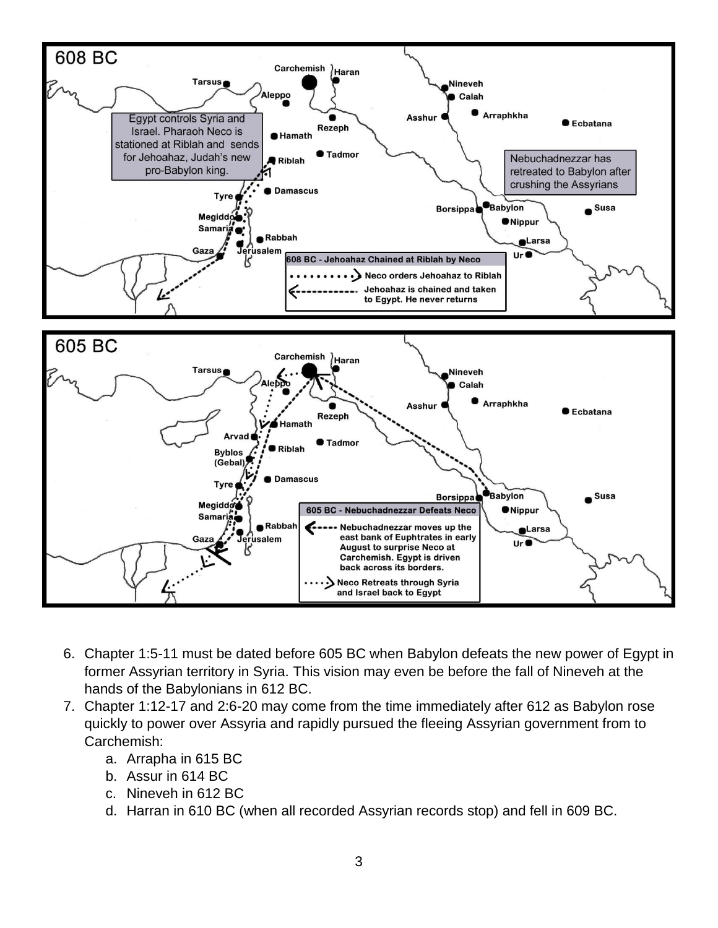

- 6. Chapter 1:5-11 must be dated before 605 BC when Babylon defeats the new power of Egypt in former Assyrian territory in Syria. This vision may even be before the fall of Nineveh at the hands of the Babylonians in 612 BC.
- 7. Chapter 1:12-17 and 2:6-20 may come from the time immediately after 612 as Babylon rose quickly to power over Assyria and rapidly pursued the fleeing Assyrian government from to Carchemish:
	- a. Arrapha in 615 BC
	- b. Assur in 614 BC
	- c. Nineveh in 612 BC
	- d. Harran in 610 BC (when all recorded Assyrian records stop) and fell in 609 BC.